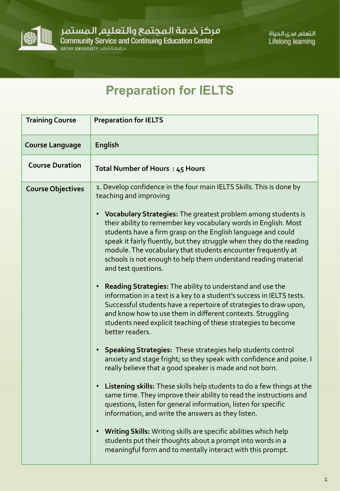

مركز خدمة المجتمع والتعليم المستمر<br>Community Service and Continuing Education Center<br>مصمة قطر ATAR UNIVERSITY

التعلم مدى الحياة **Lifelong learning** 

## **Preparation for IELTS**

| <b>Training Course</b>   | <b>Preparation for IELTS</b>                                                                                                                                                                                                                                                                                                                                                                                                                                                                                                                                                                                                                                                                                                                                                                                                                                                                                                                                                                                                                                                                                                                                                                                                                                                                                                                                                                                                                                                                                                                                                                                |
|--------------------------|-------------------------------------------------------------------------------------------------------------------------------------------------------------------------------------------------------------------------------------------------------------------------------------------------------------------------------------------------------------------------------------------------------------------------------------------------------------------------------------------------------------------------------------------------------------------------------------------------------------------------------------------------------------------------------------------------------------------------------------------------------------------------------------------------------------------------------------------------------------------------------------------------------------------------------------------------------------------------------------------------------------------------------------------------------------------------------------------------------------------------------------------------------------------------------------------------------------------------------------------------------------------------------------------------------------------------------------------------------------------------------------------------------------------------------------------------------------------------------------------------------------------------------------------------------------------------------------------------------------|
| <b>Course Language</b>   | <b>English</b>                                                                                                                                                                                                                                                                                                                                                                                                                                                                                                                                                                                                                                                                                                                                                                                                                                                                                                                                                                                                                                                                                                                                                                                                                                                                                                                                                                                                                                                                                                                                                                                              |
| <b>Course Duration</b>   | Total Number of Hours: 45 Hours                                                                                                                                                                                                                                                                                                                                                                                                                                                                                                                                                                                                                                                                                                                                                                                                                                                                                                                                                                                                                                                                                                                                                                                                                                                                                                                                                                                                                                                                                                                                                                             |
| <b>Course Objectives</b> | 1. Develop confidence in the four main IELTS Skills. This is done by<br>teaching and improving<br>• Vocabulary Strategies: The greatest problem among students is<br>their ability to remember key vocabulary words in English. Most<br>students have a firm grasp on the English language and could<br>speak it fairly fluently, but they struggle when they do the reading<br>module. The vocabulary that students encounter frequently at<br>schools is not enough to help them understand reading material<br>and test questions.<br>Reading Strategies: The ability to understand and use the<br>$\bullet$ .<br>information in a text is a key to a student's success in IELTS tests.<br>Successful students have a repertoire of strategies to draw upon,<br>and know how to use them in different contexts. Struggling<br>students need explicit teaching of these strategies to become<br>better readers.<br>Speaking Strategies: These strategies help students control<br>anxiety and stage fright; so they speak with confidence and poise. I<br>really believe that a good speaker is made and not born.<br>• Listening skills: These skills help students to do a few things at the<br>same time. They improve their ability to read the instructions and<br>questions, listen for general information, listen for specific<br>information, and write the answers as they listen.<br>Writing Skills: Writing skills are specific abilities which help<br>$\bullet$<br>students put their thoughts about a prompt into words in a<br>meaningful form and to mentally interact with this prompt. |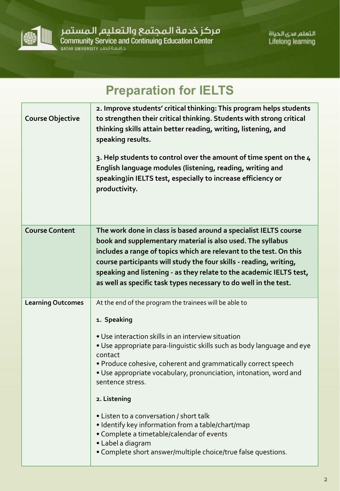

مركز خدمة الـمجتمع والـتعليم الـمستمر<br>Community Service and Continuing Education Center<br>معموم السور معروم السياسية السياسية من المتحدة من المتحدة المتحدة .

التعلم مدى الحياة **Lifelong learning** 

| <b>Preparation for IELTS</b> |                                                                                                                                                                                                                                                                                                                                                                                                                                                                                                                                                                                                                               |  |
|------------------------------|-------------------------------------------------------------------------------------------------------------------------------------------------------------------------------------------------------------------------------------------------------------------------------------------------------------------------------------------------------------------------------------------------------------------------------------------------------------------------------------------------------------------------------------------------------------------------------------------------------------------------------|--|
| <b>Course Objective</b>      | 2. Improve students' critical thinking: This program helps students<br>to strengthen their critical thinking. Students with strong critical<br>thinking skills attain better reading, writing, listening, and<br>speaking results.<br>3. Help students to control over the amount of time spent on the 4<br>English language modules (listening, reading, writing and<br>speaking) in IELTS test, especially to increase efficiency or<br>productivity.                                                                                                                                                                       |  |
| <b>Course Content</b>        | The work done in class is based around a specialist IELTS course<br>book and supplementary material is also used. The syllabus<br>includes a range of topics which are relevant to the test. On this<br>course participants will study the four skills - reading, writing,<br>speaking and listening - as they relate to the academic IELTS test,<br>as well as specific task types necessary to do well in the test.                                                                                                                                                                                                         |  |
| <b>Learning Outcomes</b>     | At the end of the program the trainees will be able to<br>1. Speaking<br>• Use interaction skills in an interview situation<br>. Use appropriate para-linguistic skills such as body language and eye<br>contact<br>. Produce cohesive, coherent and grammatically correct speech<br>• Use appropriate vocabulary, pronunciation, intonation, word and<br>sentence stress.<br>2. Listening<br>• Listen to a conversation / short talk<br>• Identify key information from a table/chart/map<br>• Complete a timetable/calendar of events<br>• Label a diagram<br>• Complete short answer/multiple choice/true false questions. |  |